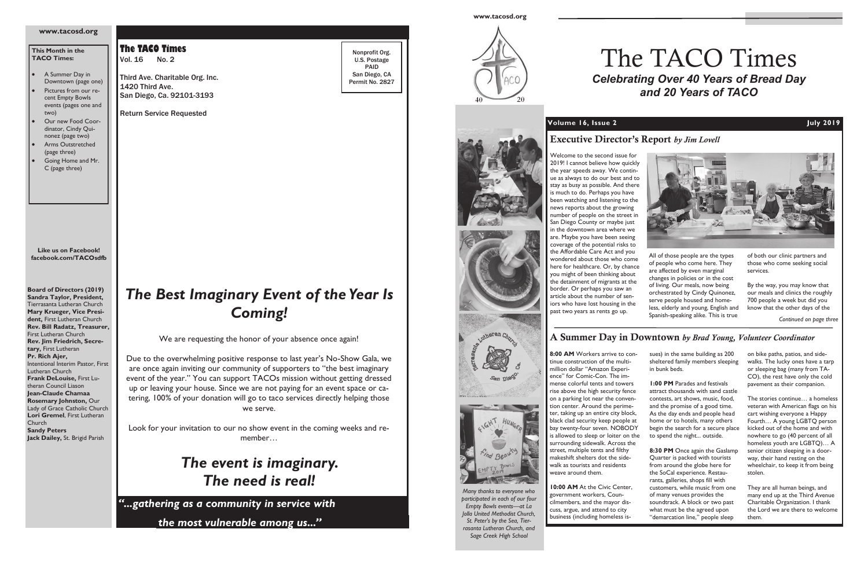*"...gathering as a community in service with* 

*the most vulnerable among us...''*

**The TACO Times** Vol. 16 No. 2

Third Ave. Charitable Org. Inc. 1420 Third Ave. San Diego, Ca. 92101-3193

Return Service Requested

Nonprofit Org. U.S. Postage PAID San Diego, CA Permit No. 2827

**Board of Directors (2019) Sandra Taylor, President,**  Tierrasanta Lutheran Church **Mary Krueger, Vice President,** First Lutheran Church **Rev. Bill Radatz, Treasurer,** First Lutheran Church **Rev. Jim Friedrich, Secretary,** First Lutheran **Pr. Rich Ajer,**  Intentional Interim Pastor, First Lutheran Church **Frank DeLouise,** First Lutheran Council Liason **Jean-Claude Chamaa Rosemary Johnston,** Our Lady of Grace Catholic Church **Lori Gremel**, First Lutheran Church **Sandy Peters Jack Dailey,** St. Brigid Parish

### **This Month in the TACO Times:**

- A Summer Day in Downtown (page one)
- Pictures from our recent Empty Bowls events (pages one and two)
- Our new Food Coordinator, Cindy Quinonez (page two)
- Arms Outstretched (page three)
- Going Home and Mr. C (page three)

### **www.tacosd.org**

**Like us on Facebook! facebook.com/TACOsdfb**

# *The Best Imaginary Event of the Year Is Coming!*

We are requesting the honor of your absence once again!

8:00 AM Workers arrive to continue construction of the multimillion dollar "Amazon Experience" for Comic-Con. The immense colorful tents and towers rise above the high security fence on a parking lot near the convention center. Around the perimeter, taking up an entire city block, black clad security keep people at bay twenty-four seven. NOBODY is allowed to sleep or loiter on the surrounding sidewalk. Across the street, multiple tents and filthy makeshift shelters dot the sidewalk as tourists and residents weave around them.

**10:00 AM** At the Civic Center, government workers, Councilmembers, and the mayor discuss, argue, and attend to city business (including homeless is-







Due to the overwhelming positive response to last year's No-Show Gala, we are once again inviting our community of supporters to "the best imaginary event of the year." You can support TACOs mission without getting dressed up or leaving your house. Since we are not paying for an event space or catering, 100% of your donation will go to taco services directly helping those we serve.

> 8:30 PM Once again the Gaslamp Quarter is packed with tourists from around the globe here for the SoCal experience. Restaurants, galleries, shops fill with customers, while music from one of many venues provides the soundtrack. A block or two past what must be the agreed upon "demarcation line," people sleep

Look for your invitation to our no show event in the coming weeks and remember…

> *The event is imaginary. The need is real!*

### **Volume 16, Issue 2 July 2019**





# The TACO Times *Celebrating Over 40 Years of Bread Day and 20 Years of TACO*



# **Executive Director's Report** *by Jim Lovell*

*Continued on page three*

sues) in the same building as 200 sheltered family members sleeping in bunk beds.

**1:00 PM** Parades and festivals attract thousands with sand castle contests, art shows, music, food, and the promise of a good time. As the day ends and people head home or to hotels, many others begin the search for a secure place to spend the night... outside.

on bike paths, patios, and sidewalks. The lucky ones have a tarp or sleeping bag (many from TA-CO), the rest have only the cold pavement as their companion.

The stories continue… a homeless veteran with American flags on his cart wishing everyone a Happy Fourth… A young LGBTQ person kicked out of the home and with nowhere to go (40 percent of all homeless youth are LGBTQ)… A senior citizen sleeping in a doorway, their hand resting on the wheelchair, to keep it from being stolen.

They are all human beings, and many end up at the Third Avenue Charitable Organization. I thank the Lord we are there to welcome them.

# **A Summer Day in Downtown** *by Brad Young, Volunteer Coordinator*

Welcome to the second issue for 2019! I cannot believe how quickly the year speeds away. We continue as always to do our best and to stay as busy as possible. And there is much to do. Perhaps you have been watching and listening to the news reports about the growing number of people on the street in San Diego County or maybe just in the downtown area where we are. Maybe you have been seeing coverage of the potential risks to the Affordable Care Act and you wondered about those who come here for healthcare. Or, by chance you might of been thinking about the detainment of migrants at the border. Or perhaps you saw an article about the number of seniors who have lost housing in the past two years as rents go up.

All of those people are the types of people who come here. They are affected by even marginal changes in policies or in the cost of living. Our meals, now being orchestrated by Cindy Quinonez, serve people housed and homeless, elderly and young, English and Spanish-speaking alike. This is true

of both our clinic partners and those who come seeking social services.

By the way, you may know that our meals and clinics the roughly 700 people a week but did you know that the other days of the

*Many thanks to everyone who participated in each of our four Empty Bowls events—at La Jolla United Methodist Church, St. Peter's by the Sea, Tierrasanta Lutheran Church, and Sage Creek High School*